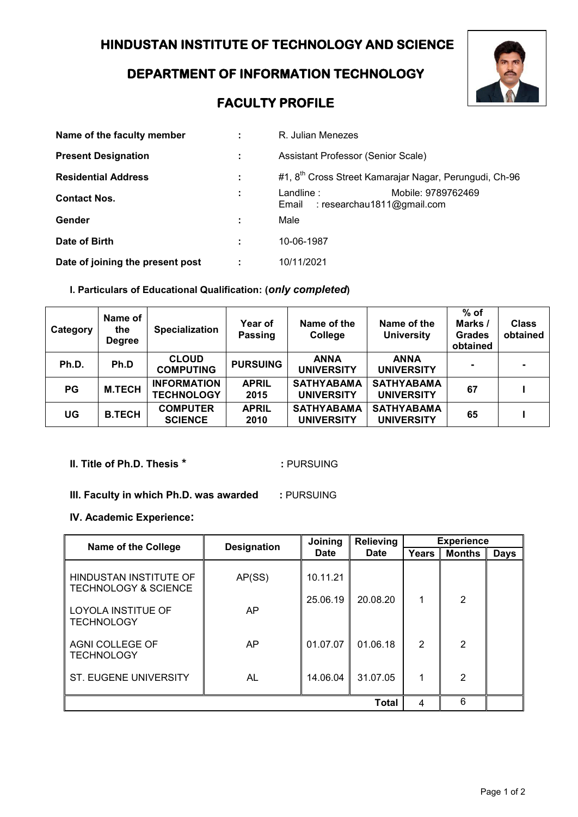## **HINDUSTAN INSTITUTE OF TECHNOLOGY AND SCIENCE**

**DEPARTMENT OF INFORMATION TECHNOLOGY** 



# **FACULTY PROFILE**

| Name of the faculty member       | ÷ | R. Julian Menezes                                                         |  |  |  |
|----------------------------------|---|---------------------------------------------------------------------------|--|--|--|
| <b>Present Designation</b>       | ÷ | Assistant Professor (Senior Scale)                                        |  |  |  |
| <b>Residential Address</b>       | ÷ | #1, 8 <sup>th</sup> Cross Street Kamarajar Nagar, Perungudi, Ch-96        |  |  |  |
| <b>Contact Nos.</b>              | ÷ | Mobile: 9789762469<br>$L$ andline:<br>: researchau1811@gmail.com<br>Email |  |  |  |
| Gender                           | ÷ | Male                                                                      |  |  |  |
| Date of Birth                    | ÷ | 10-06-1987                                                                |  |  |  |
| Date of joining the present post |   | 10/11/2021                                                                |  |  |  |

### **I. Particulars of Educational Qualification: (***only completed***)**

| Category | Name of<br>the<br><b>Degree</b> | <b>Specialization</b>                   | Year of<br>Passing   | Name of the<br>College                 | Name of the<br><b>University</b>       | $%$ of<br>Marks /<br><b>Grades</b><br>obtained | <b>Class</b><br>obtained |
|----------|---------------------------------|-----------------------------------------|----------------------|----------------------------------------|----------------------------------------|------------------------------------------------|--------------------------|
| Ph.D.    | Ph.D                            | <b>CLOUD</b><br><b>COMPUTING</b>        | <b>PURSUING</b>      | <b>ANNA</b><br><b>UNIVERSITY</b>       | <b>ANNA</b><br><b>UNIVERSITY</b>       |                                                |                          |
| PG       | <b>M.TECH</b>                   | <b>INFORMATION</b><br><b>TECHNOLOGY</b> | <b>APRIL</b><br>2015 | <b>SATHYABAMA</b><br><b>UNIVERSITY</b> | <b>SATHYABAMA</b><br><b>UNIVERSITY</b> | 67                                             |                          |
| UG       | <b>B.TECH</b>                   | <b>COMPUTER</b><br><b>SCIENCE</b>       | <b>APRIL</b><br>2010 | <b>SATHYABAMA</b><br><b>UNIVERSITY</b> | <b>SATHYABAMA</b><br><b>UNIVERSITY</b> | 65                                             |                          |

**II. Title of Ph.D. Thesis \* :** PURSUING

**III. Faculty in which Ph.D. was awarded :** PURSUING

#### **IV. Academic Experience:**

| <b>Name of the College</b>                                | <b>Designation</b> | Joining     | <b>Relieving</b> | <b>Experience</b> |                |             |
|-----------------------------------------------------------|--------------------|-------------|------------------|-------------------|----------------|-------------|
|                                                           |                    | <b>Date</b> | <b>Date</b>      | <b>Years</b>      | <b>Months</b>  | <b>Days</b> |
| HINDUSTAN INSTITUTE OF<br><b>TECHNOLOGY &amp; SCIENCE</b> | AP(SS)             | 10.11.21    |                  |                   |                |             |
| LOYOLA INSTITUE OF<br><b>TECHNOLOGY</b>                   | AP                 | 25.06.19    | 20.08.20         |                   | $\overline{2}$ |             |
| AGNI COLLEGE OF<br><b>TECHNOLOGY</b>                      | AP                 | 01.07.07    | 01.06.18         | 2                 | 2              |             |
| <b>ST. EUGENE UNIVERSITY</b>                              | AL                 | 14.06.04    | 31.07.05         | 1                 | 2              |             |
| <b>Total</b>                                              |                    |             |                  |                   | 6              |             |